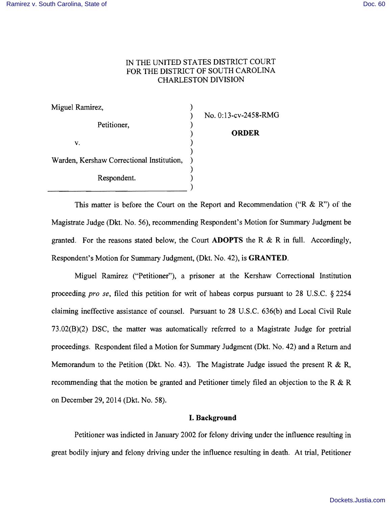# IN THE UNITED STATES DISTRICT COURT FOR THE DISTRICT OF SOUTH CAROLINA CHARLESTON DIVISION

| Miguel Ramirez,                           |  |
|-------------------------------------------|--|
| Petitioner,                               |  |
| V.                                        |  |
| Warden, Kershaw Correctional Institution, |  |
| Respondent.                               |  |
|                                           |  |

 $No. 0:13$ -cv-2458-RMG

) **ORDER** 

This matter is before the Court on the Report and Recommendation ("R  $\&$  R") of the Magistrate Judge (Dkt. No. 56), recommending Respondent's Motion for Summary Judgment be granted. For the reasons stated below, the Court **ADOPTS** the R & R in full. Accordingly, Respondent's Motion for Summary Judgment, (Dkt. No. 42), is **GRANTED.** 

Miguel Ramirez ("Petitioner"), a prisoner at the Kershaw Correctional Institution proceeding *pro se,* filed this petition for writ of habeas corpus pursuant to 28 U.S.C. § 2254 claiming ineffective assistance of counsel. Pursuant to 28 U.S.C. 636(b) and Local Civil Rule 73.02(B)(2) DSC, the matter was automatically referred to a Magistrate Judge for pretrial proceedings. Respondent filed a Motion for Summary Judgment (Dkt. No. 42) and a Return and Memorandum to the Petition (Dkt. No. 43). The Magistrate Judge issued the present R & R, recommending that the motion be granted and Petitioner timely filed an objection to the R & R on December 29, 2014 (Dkt. No. 58).

## **I. Background**

Petitioner was indicted in January 2002 for felony driving under the influence resulting in great bodily injury and felony driving under the influence resulting in death. At trial, Petitioner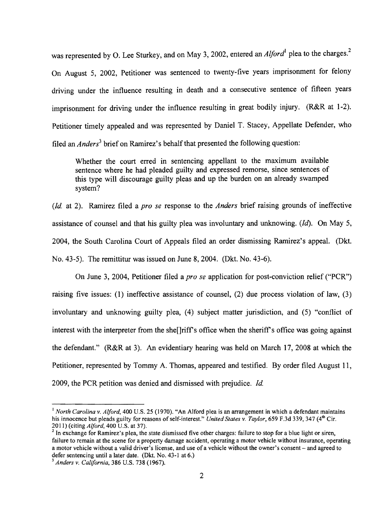was represented by O. Lee Sturkey, and on May 3, 2002, entered an *Alford*<sup>1</sup> plea to the charges.<sup>2</sup> On August 5, 2002, Petitioner was sentenced to twenty-five years imprisonment for felony driving under the influence resulting in death and a consecutive sentence of fifteen years imprisonment for driving under the influence resulting in great bodily injury. (R&R at 1-2). Petitioner timely appealed and was represented by Daniel T. Stacey, Appellate Defender, who filed an *Anders3* brief on Ramirez's behalf that presented the following question:

Whether the court erred in sentencing appellant to the maximum available sentence where he had pleaded guilty and expressed remorse, since sentences of this type will discourage guilty pleas and up the burden on an already swamped system?

*(Id* at 2). Ramirez filed a *pro se* response to the *Anders* brief raising grounds of ineffective assistance of counsel and that his guilty plea was involuntary and unknowing. *(Id).* On May 5, 2004, the South Carolina Court of Appeals filed an order dismissing Ramirez's appeal. (Dkt. No. 43-5). The remittitur was issued on June 8, 2004. (Dkt. No. 43-6).

On June 3, 2004, Petitioner filed a *pro se* application for post-conviction relief ("PCR") raising five issues: (1) ineffective assistance of counsel, (2) due process violation of law, (3) involuntary and unknowing guilty plea, (4) subject matter jurisdiction, and (5) "conflict of interest with the interpreter from the she<sup>[]</sup>riff's office when the sheriff's office was going against the defendant." (R&R at 3). An evidentiary hearing was held on March 17, 2008 at which the Petitioner, represented by Tommy A. Thomas, appeared and testified. By order filed August 11, 2009, the PCR petition was denied and dismissed with prejudice. *Id* 

<sup>&</sup>lt;sup>1</sup> North Carolina v. Alford, 400 U.S. 25 (1970). "An Alford plea is an arrangement in which a defendant maintains his innocence but pleads guilty for reasons of self-interest." *United States v. Taylor*, 659 F.3d 339, 347 (4<sup>th</sup> Cir. 2011 ) (citing *Alford,* 400 U.S. at 37).

<sup>&</sup>lt;sup>2</sup> In exchange for Ramirez's plea, the state dismissed five other charges: failure to stop for a blue light or siren, failure to remain at the scene for a property damage accident, operating a motor vehicle without insurance, operating a motor vehicle without a valid driver's license, and use of a vehicle without the owner's consent - and agreed to defer sentencing until a later date. (Dkt. No. 43-1 at 6.)

<sup>3</sup>*Anders v. California,* 386 U.S. 738 (1967).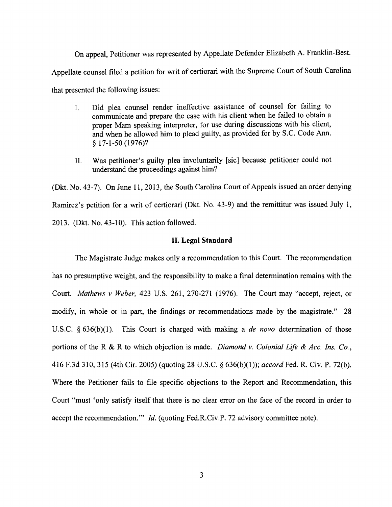On appeal, Petitioner was represented by Appellate Defender Elizabeth A. Franklin-Best. Appellate counsel filed a petition for writ of certiorari with the Supreme Court of South Carolina that presented the following issues:

- I. Did plea counsel render ineffective assistance of counsel for failing to communicate and prepare the case with his client when he failed to obtain a proper Mam speaking interpreter, for use during discussions with his client, and when he allowed him to plead guilty, as provided for by S.C. Code Ann.  $§ 17-1-50 (1976)?$
- II. Was petitioner's guilty plea involuntarily [sic] because petitioner could not understand the proceedings against him?

(Dkt. No. 43-7). On June 11, 2013, the South Carolina Court of Appeals issued an order denying Ramirez's petition for a writ of certiorari (Dkt. No. 43-9) and the remittitur was issued July 1,  $2013.$  (Dkt. No. 43-10). This action followed.

## **II. Legal Standard**

The Magistrate Judge makes only a recommendation to this Court. The recommendation has no presumptive weight, and the responsibility to make a final determination remains with the Court. *Mathews v Weber*, 423 U.S. 261, 270-271 (1976). The Court may "accept, reject, or modify, in whole or in part, the findings or recommendations made by the magistrate." 28 U.S.C. § 636(b)(l). This Court is charged with making a *de novo* determination of those portions of the R & R to which objection is made. *Diamond* v. *Colonial Life* & *Ace. Ins. Co.,*  416 F.3d 310,315 (4th Cir. 2005) (quoting 28 U.S.C. § 636(b)(I»; *accord* Fed. R. Civ. P. 72(b). Where the Petitioner fails to file specific objections to the Report and Recommendation, this Court "must 'only satisfy itself that there is no clear error on the face of the record in order to accept the recommendation.'" *Id.* (quoting Fed.R.Civ.P. 72 advisory committee note).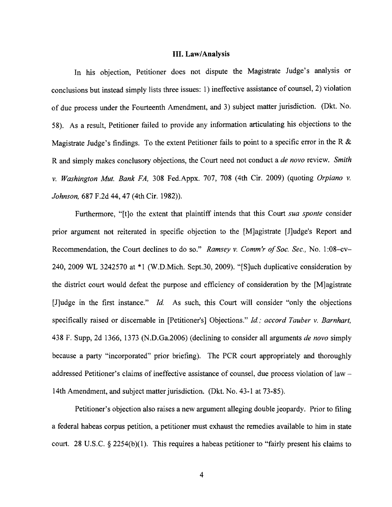#### **III. Law/Analysis**

In his objection, Petitioner does not dispute the Magistrate Judge's analysis or conclusions but instead simply lists three issues: 1) ineffective assistance of counsel, 2) violation of due process under the Fourteenth Amendment, and 3) subject matter jurisdiction. (Dkt. No. 58). As a result, Petitioner failed to provide any information articulating his objections to the Magistrate Judge's findings. To the extent Petitioner fails to point to a specific error in the R & R and simply makes conclusory objections, the Court need not conduct a *de novo* review. *Smith*  v. *Washington Mut. Bank FA,* 308 Fed.Appx. 707, 708 (4th Cir. 2009) (quoting *Or piano* v. *Johnson,* 687 F.2d 44, 47 (4th Cir. 1982)).

Furthermore, "[t]o the extent that plaintiff intends that this Court *sua sponte* consider prior argument not reiterated in specific objection to the [M]agistrate [J]udge's Report and Recommendation, the Court declines to do so." Ramsey v. Comm'r of Soc. Sec., No. 1:08-cv-240, 2009 WL 3242570 at \*1 (W.D.Mich. Sept.30, 2009). "[S]uch duplicative consideration by the district court would defeat the purpose and efficiency of consideration by the [M]agistrate [J]udge in the first instance." *Id.* As such, this Court will consider "only the objections specifically raised or discernable in [Petitioner's] Objections." *Id.; accord Tauber* v. *Barnhart,*  438 F. Supp, 2d 1366, 1373 (N.D.Ga.2006) (declining to consider all arguments *de novo* simply because a party "incorporated" prior briefing). The PCR court appropriately and thoroughly addressed Petitioner's claims of ineffective assistance of counsel, due process violation of law 14th Amendment, and subject matter jurisdiction. (Dkt. No. 43-1 at 73-85).

Petitioner's objection also raises a new argument alleging double jeopardy. Prior to filing a federal habeas corpus petition, a petitioner must exhaust the remedies available to him in state court. 28 U.S.C. § 2254(b)(l). This requires a habeas petitioner to "fairly present his claims to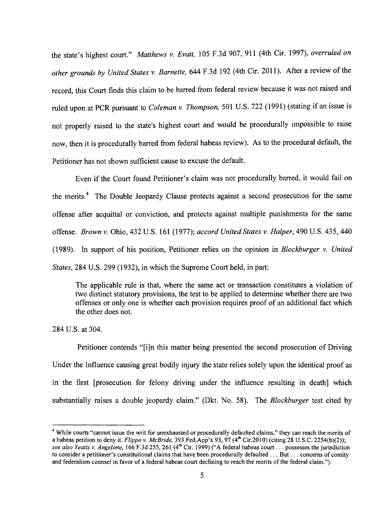the state's highest court." *Matthews* v. *Evatt,* 105 F.3d 907, 911 (4th Cir. 1997), *overruled on other grounds by United States v. Barnette, 644 F.3d 192 (4th Cir. 2011). After a review of the* record, this Court finds this claim to be barred from federal review because it was not raised and ruled upon at PCR pursuant to *Coleman* v. *Thompson,* 501 U.S. 722 (1991) (stating if an issue is not properly raised to the state's highest court and would be procedurally impossible to raise now, then it is procedurally barred from federal habeas review). As to the procedural default, the Petitioner has not shown sufficient cause to excuse the default.

Even if the Court found Petitioner's claim was not procedurally barred, it would fail on the merits.<sup>4</sup> The Double Jeopardy Clause protects against a second prosecution for the same offense after acquittal or conviction, and protects against multiple punishments for the same offense. *Brown* v. Ohio, 432 U.S. 161 (1977); *accord United States* v. *Halper,* 490 U.S. 435, 440 (1989). In support of his position, Petitioner relies on the opinion in *B10ckburger* v. *United States,* 284 U.S. 299 (1932), in which the Supreme Court held, in part:

The applicable rule is that, where the same act or transaction constitutes a violation of two distinct statutory provisions, the test to be applied to determine whether there are two offenses or only one is whether each provision requires proof of an additional fact which the other does not.

284 U.S. at 304.

Petitioner contends "[i]n this matter being presented the second prosecution of Driving Under the Influence causing great bodily injury the state relies solely upon the identical proof as in the first [prosecution for felony driving under the influence resulting in death] which substantially raises a double jeopardy claim." (Dkt. No. 58). The *Blockburger* test cited by

<sup>&</sup>lt;sup>4</sup> While courts "cannot issue the writ for unexhausted or procedurally defaulted claims," they can reach the merits of a habeas petition to deny it. *Flippo v. McBride*, 393 Fed.App'x 93, 97 (4<sup>th</sup> Cir.2010) (citing 28 U.S.C. 2254(b)(2)); see also Yeatts v. Angelone, 166 F.3d 255, 261 (4<sup>th</sup> Cir. 1999) ("A federal habeas court . . . possesses the jurisdiction to consider a petitioner's constitutional claims that have been procedurally defaulted ... But ... concerns of comity and federalism counsel in favor of a federal habeas court declining to reach the merits of the federal claim.").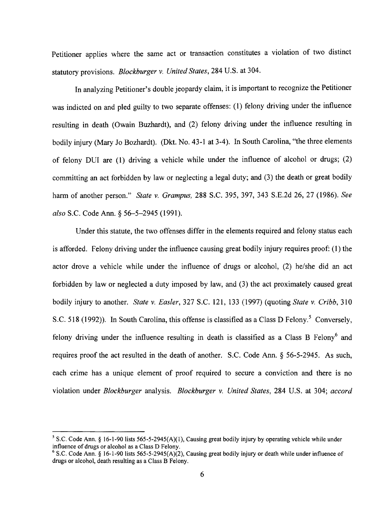Petitioner applies where the same act or transaction constitutes a violation of two distinct statutory provisions. *Blockburger* v. *United States,* 284 U.S. at 304.

In analyzing Petitioner's double jeopardy claim, it is important to recognize the Petitioner was indicted on and pled guilty to two separate offenses: (1) felony driving under the influence resulting in death (Owain Buzhardt), and (2) felony driving under the influence resulting in bodily injury (Mary Jo Bozhardt). (Dkt. No. 43-1 at 3-4). In South Carolina, "the three elements of felony DUI are (1) driving a vehicle while under the influence of alcohol or drugs; (2) committing an act forbidden by law or neglecting a legal duty; and (3) the death or great bodily harm of another person." *State* v. *Grampus,* 288 S.C. 395, 397, 343 S.E.2d 26, 27 (1986). *See also* S.C. Code Ann. § 56–5–2945 (1991).

Under this statute, the two offenses differ in the elements required and felony status each is afforded. Felony driving under the influence causing great bodily injury requires proof: (1) the actor drove a vehicle while under the influence of drugs or alcohol, (2) he/she did an act forbidden by law or neglected a duty imposed by Jaw, and (3) the act proximately caused great bodily injury to another. *State* v. *Easler,* 327 S.C. 121, l33 (1997) (quoting *State* v. *Cribb,* 310 S.C. 518 (1992)). In South Carolina, this offense is classified as a Class D Felony.<sup>5</sup> Conversely, felony driving under the influence resulting in death is classified as a Class B  $Felony<sup>6</sup>$  and requires proof the act resulted in the death of another. S.C. Code Ann.  $\S$  56-5-2945. As such, each crime has a unique element of proof required to secure a conviction and there is no violation under *Blockburger* analysis. *Blockburger* v. *United States,* 284 U.S. at 304; *accord* 

<sup>&</sup>lt;sup>5</sup> S.C. Code Ann. § 16-1-90 lists 565-5-2945(A)(1), Causing great bodily injury by operating vehicle while under influence of drugs or alcohol as a Class D Felony.

<sup>&</sup>lt;sup>6</sup> S.C. Code Ann. § 16-1-90 lists 565-5-2945(A)(2), Causing great bodily injury or death while under influence of drugs or alcohol, death resulting as a Class B Felony.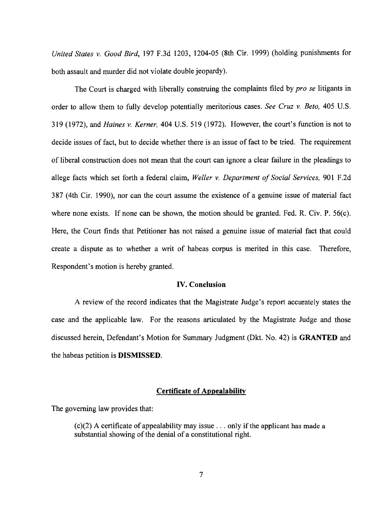*United States* v. *Good Bird,* 197 F.3d 1203, 120405 (8th Cir. 1999) (holding punishments for both assault and murder did not violate double jeopardy).

The Court is charged with liberally construing the complaints filed by *pro se* litigants in order to allow them to fully develop potentially meritorious cases. *See Cruz* v. *Beto,* 405 U.S. 319 (1972), and *Haines* v. *Kerner,* 404 U.S. 519 (1972). However, the court's function is not to decide issues of fact, but to decide whether there is an issue of fact to be tried. The requirement of liberal construction does not mean that the court can ignore a clear failure in the pleadings to allege facts which set forth a federal claim, *Weller v. Department of Social Services*, 901 F.2d 387 (4th Cir. 1990), nor can the court assume the existence of a genuine issue of material fact where none exists. If none can be shown, the motion should be granted. Fed. R. Civ.  $P. 56(c)$ . Here, the Court finds that Petitioner has not raised a genuine issue of material fact that could create a dispute as to whether a writ of habeas corpus is merited in this case. Therefore, Respondent's motion is hereby granted.

## **IV. Conclusion**

A review of the record indicates that the Magistrate Judge's report accurately states the case and the applicable law. For the reasons articulated by the Magistrate Judge and those discussed herein, Defendant's Motion for Summary Judgment (Dkt. No. 42) is **GRANTED and**  the habeas petition is **DISMISSED.** 

# **Certificate of Appealability**

The governing law provides that:

 $(c)(2)$  A certificate of appealability may issue . . . only if the applicant has made a substantial showing of the denial of a constitutional right.